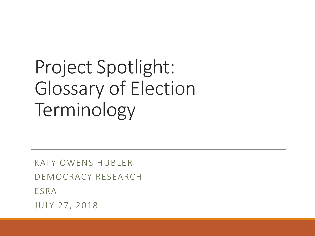### Project Spotlight: Glossary of Election Terminology

KATY OWENS HUBLER DEMOCRACY RESEARCH ESRA JULY 27, 2018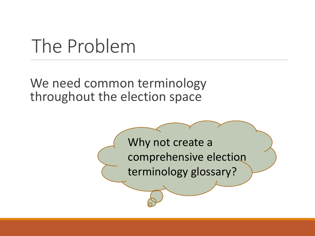### The Problem

We need common terminology throughout the election space

> Why not create a comprehensive election terminology glossary?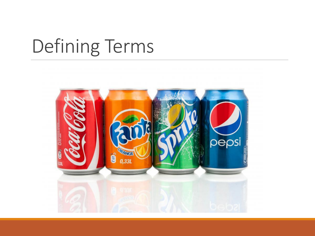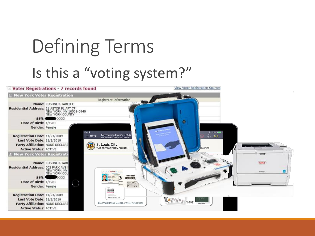### Is this a "voting system?"

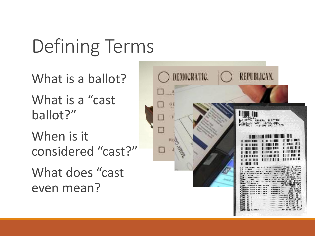What is a ballot?

What is a "cast ballot?"

When is it considered "cast?"

What does "cast even mean?

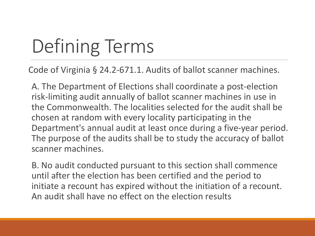Code of Virginia § 24.2-671.1. Audits of ballot scanner machines.

A. The Department of Elections shall coordinate a post-election risk-limiting audit annually of ballot scanner machines in use in the Commonwealth. The localities selected for the audit shall be chosen at random with every locality participating in the Department's annual audit at least once during a five-year period. The purpose of the audits shall be to study the accuracy of ballot scanner machines.

B. No audit conducted pursuant to this section shall commence until after the election has been certified and the period to initiate a recount has expired without the initiation of a recount. An audit shall have no effect on the election results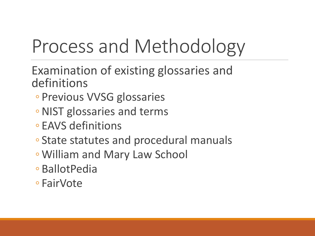# Process and Methodology

Examination of existing glossaries and definitions

- Previous VVSG glossaries
- ◦NIST glossaries and terms
- EAVS definitions
- State statutes and procedural manuals
- William and Mary Law School
- BallotPedia
- FairVote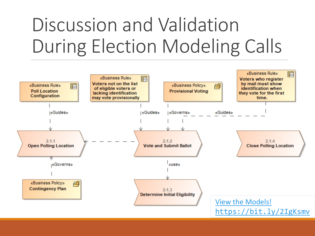### Discussion and Validation During Election Modeling Calls

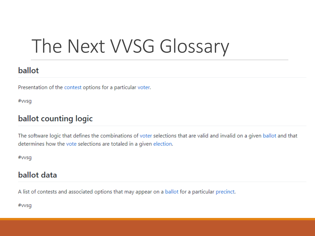### The Next VVSG Glossary

#### ballot

Presentation of the contest options for a particular voter.

#vvsg

#### ballot counting logic

The software logic that defines the combinations of voter selections that are valid and invalid on a given ballot and that determines how the vote selections are totaled in a given election.

#vvsq

#### ballot data

A list of contests and associated options that may appear on a ballot for a particular precinct.

#vvsg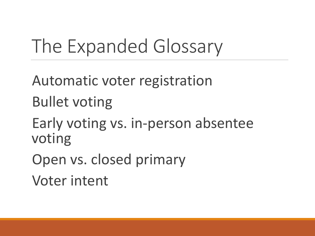### The Expanded Glossary

Automatic voter registration Bullet voting Early voting vs. in-person absentee voting Open vs. closed primary Voter intent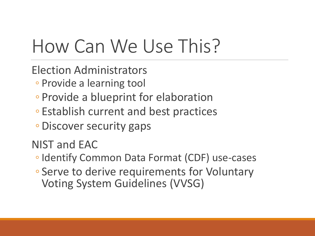### How Can We Use This?

Election Administrators

- Provide a learning tool
- Provide a blueprint for elaboration
- Establish current and best practices
- Discover security gaps

NIST and EAC

- Identify Common Data Format (CDF) use-cases
- Serve to derive requirements for Voluntary Voting System Guidelines (VVSG)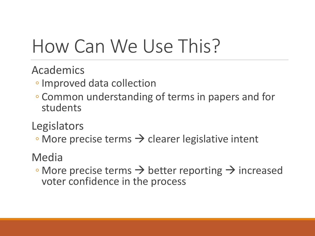### How Can We Use This?

Academics

- Improved data collection
- Common understanding of terms in papers and for students

**Legislators** 

 $\circ$  More precise terms  $\rightarrow$  clearer legislative intent

### Media

 $\cdot$  More precise terms  $\rightarrow$  better reporting  $\rightarrow$  increased voter confidence in the process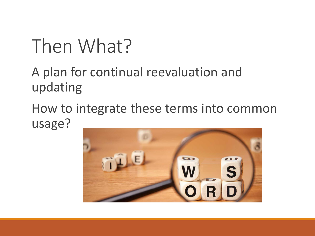### Then What?

A plan for continual reevaluation and updating

How to integrate these terms into common usage?